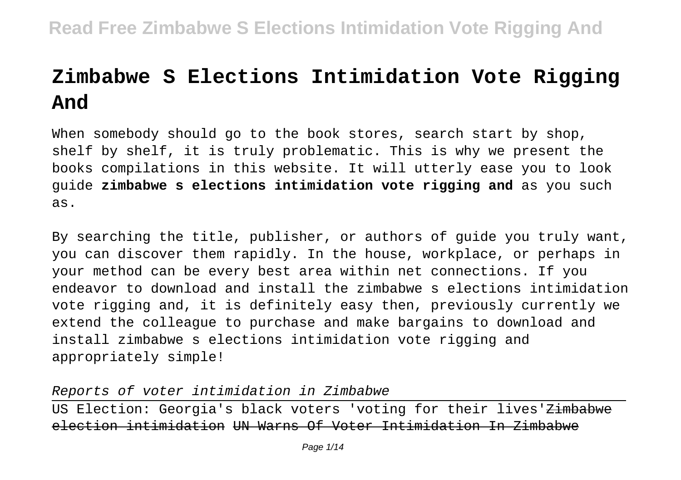# **Zimbabwe S Elections Intimidation Vote Rigging And**

When somebody should go to the book stores, search start by shop, shelf by shelf, it is truly problematic. This is why we present the books compilations in this website. It will utterly ease you to look guide **zimbabwe s elections intimidation vote rigging and** as you such as.

By searching the title, publisher, or authors of guide you truly want, you can discover them rapidly. In the house, workplace, or perhaps in your method can be every best area within net connections. If you endeavor to download and install the zimbabwe s elections intimidation vote rigging and, it is definitely easy then, previously currently we extend the colleague to purchase and make bargains to download and install zimbabwe s elections intimidation vote rigging and appropriately simple!

Reports of voter intimidation in Zimbabwe

US Election: Georgia's black voters 'voting for their lives'<del>Zimbabwe</del> election intimidation UN Warns Of Voter Intimidation In Zimbabwe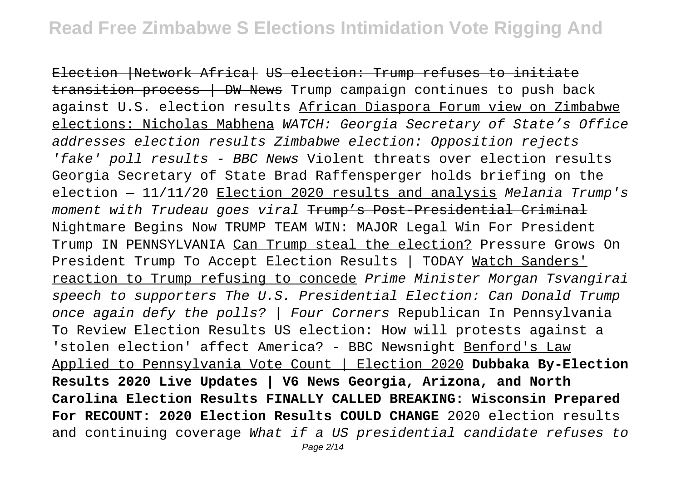Election |Network Africa| US election: Trump refuses to initiate  $transition$  process  $\overline{\phantom{a}}$  DW News Trump campaign continues to push back against U.S. election results African Diaspora Forum view on Zimbabwe elections: Nicholas Mabhena WATCH: Georgia Secretary of State's Office addresses election results Zimbabwe election: Opposition rejects 'fake' poll results - BBC News Violent threats over election results Georgia Secretary of State Brad Raffensperger holds briefing on the election  $-11/11/20$  Election 2020 results and analysis Melania Trump's moment with Trudeau goes viral Trump's Post-Presidential Criminal Nightmare Begins Now TRUMP TEAM WIN: MAJOR Legal Win For President Trump IN PENNSYLVANIA Can Trump steal the election? Pressure Grows On President Trump To Accept Election Results | TODAY Watch Sanders' reaction to Trump refusing to concede Prime Minister Morgan Tsvangirai speech to supporters The U.S. Presidential Election: Can Donald Trump once again defy the polls? | Four Corners Republican In Pennsylvania To Review Election Results US election: How will protests against a 'stolen election' affect America? - BBC Newsnight Benford's Law Applied to Pennsylvania Vote Count | Election 2020 **Dubbaka By-Election Results 2020 Live Updates | V6 News Georgia, Arizona, and North Carolina Election Results FINALLY CALLED BREAKING: Wisconsin Prepared For RECOUNT: 2020 Election Results COULD CHANGE** 2020 election results and continuing coverage What if a US presidential candidate refuses to Page 2/14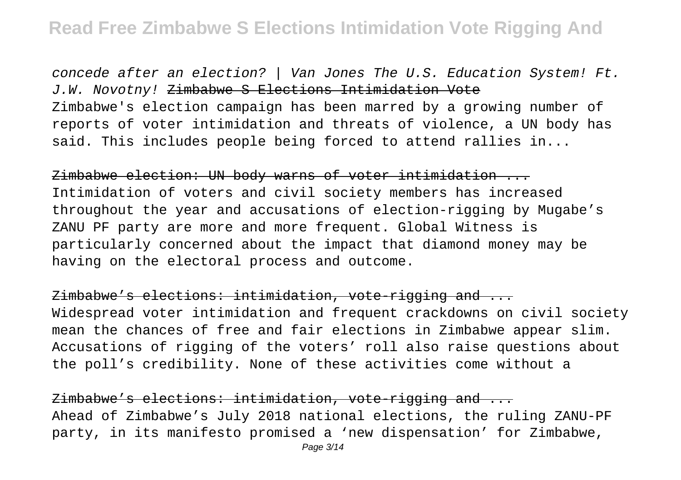concede after an election? | Van Jones The U.S. Education System! Ft. J.W. Novotny! Zimbabwe S Elections Intimidation Vote Zimbabwe's election campaign has been marred by a growing number of reports of voter intimidation and threats of violence, a UN body has said. This includes people being forced to attend rallies in...

Zimbabwe election: UN body warns of voter intimidation ... Intimidation of voters and civil society members has increased throughout the year and accusations of election-rigging by Mugabe's ZANU PF party are more and more frequent. Global Witness is particularly concerned about the impact that diamond money may be having on the electoral process and outcome.

Zimbabwe's elections: intimidation, vote-rigging and ... Widespread voter intimidation and frequent crackdowns on civil society mean the chances of free and fair elections in Zimbabwe appear slim. Accusations of rigging of the voters' roll also raise questions about the poll's credibility. None of these activities come without a

Zimbabwe's elections: intimidation, vote rigging and ... Ahead of Zimbabwe's July 2018 national elections, the ruling ZANU-PF party, in its manifesto promised a 'new dispensation' for Zimbabwe,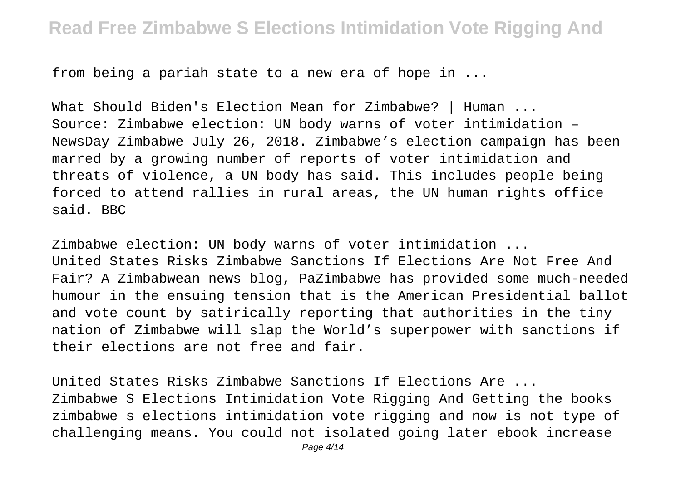from being a pariah state to a new era of hope in ...

What Should Biden's Election Mean for Zimbabwe? | Human ... Source: Zimbabwe election: UN body warns of voter intimidation – NewsDay Zimbabwe July 26, 2018. Zimbabwe's election campaign has been marred by a growing number of reports of voter intimidation and threats of violence, a UN body has said. This includes people being forced to attend rallies in rural areas, the UN human rights office said. BBC

Zimbabwe election: UN body warns of voter intimidation ... United States Risks Zimbabwe Sanctions If Elections Are Not Free And Fair? A Zimbabwean news blog, PaZimbabwe has provided some much-needed humour in the ensuing tension that is the American Presidential ballot and vote count by satirically reporting that authorities in the tiny nation of Zimbabwe will slap the World's superpower with sanctions if their elections are not free and fair.

United States Risks Zimbabwe Sanctions If Elections Are ... Zimbabwe S Elections Intimidation Vote Rigging And Getting the books zimbabwe s elections intimidation vote rigging and now is not type of challenging means. You could not isolated going later ebook increase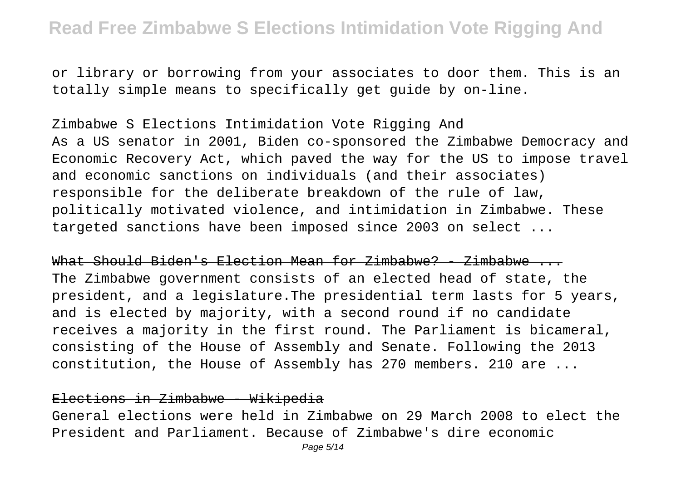or library or borrowing from your associates to door them. This is an totally simple means to specifically get guide by on-line.

#### Zimbabwe S Elections Intimidation Vote Rigging And

As a US senator in 2001, Biden co-sponsored the Zimbabwe Democracy and Economic Recovery Act, which paved the way for the US to impose travel and economic sanctions on individuals (and their associates) responsible for the deliberate breakdown of the rule of law, politically motivated violence, and intimidation in Zimbabwe. These targeted sanctions have been imposed since 2003 on select ...

What Should Biden's Election Mean for Zimbabwe? - Zimbabwe ... The Zimbabwe government consists of an elected head of state, the president, and a legislature.The presidential term lasts for 5 years, and is elected by majority, with a second round if no candidate receives a majority in the first round. The Parliament is bicameral, consisting of the House of Assembly and Senate. Following the 2013 constitution, the House of Assembly has 270 members. 210 are ...

#### Elections in Zimbabwe - Wikipedia

General elections were held in Zimbabwe on 29 March 2008 to elect the President and Parliament. Because of Zimbabwe's dire economic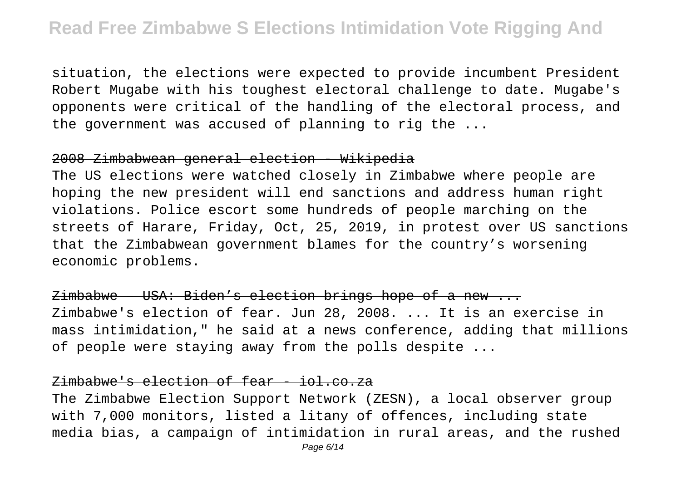situation, the elections were expected to provide incumbent President Robert Mugabe with his toughest electoral challenge to date. Mugabe's opponents were critical of the handling of the electoral process, and the government was accused of planning to rig the ...

#### 2008 Zimbabwean general election - Wikipedia

The US elections were watched closely in Zimbabwe where people are hoping the new president will end sanctions and address human right violations. Police escort some hundreds of people marching on the streets of Harare, Friday, Oct, 25, 2019, in protest over US sanctions that the Zimbabwean government blames for the country's worsening economic problems.

Zimbabwe – USA: Biden's election brings hope of a new ... Zimbabwe's election of fear. Jun 28, 2008. ... It is an exercise in mass intimidation," he said at a news conference, adding that millions of people were staying away from the polls despite ...

#### Zimbabwe's election of fear - iol.co.za

The Zimbabwe Election Support Network (ZESN), a local observer group with 7,000 monitors, listed a litany of offences, including state media bias, a campaign of intimidation in rural areas, and the rushed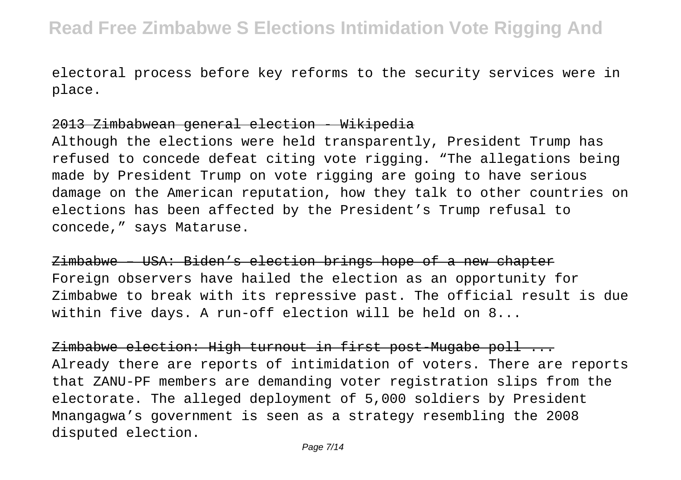electoral process before key reforms to the security services were in place.

#### 2013 Zimbabwean general election - Wikipedia

Although the elections were held transparently, President Trump has refused to concede defeat citing vote rigging. "The allegations being made by President Trump on vote rigging are going to have serious damage on the American reputation, how they talk to other countries on elections has been affected by the President's Trump refusal to concede," says Mataruse.

Zimbabwe – USA: Biden's election brings hope of a new chapter Foreign observers have hailed the election as an opportunity for Zimbabwe to break with its repressive past. The official result is due within five days. A run-off election will be held on 8...

Zimbabwe election: High turnout in first post-Mugabe poll ... Already there are reports of intimidation of voters. There are reports that ZANU-PF members are demanding voter registration slips from the electorate. The alleged deployment of 5,000 soldiers by President Mnangagwa's government is seen as a strategy resembling the 2008 disputed election.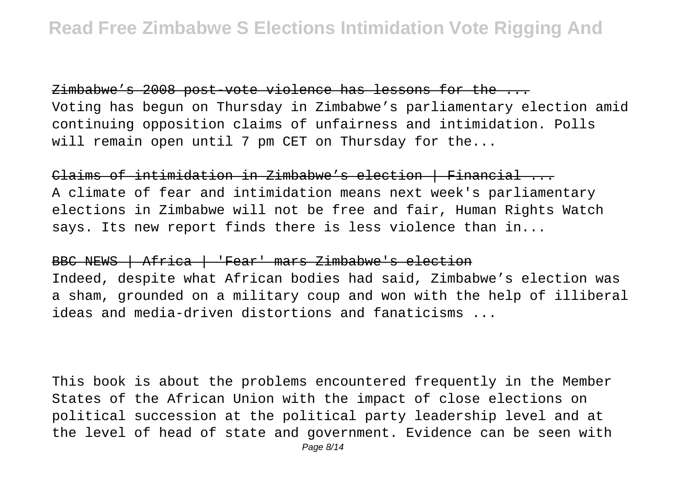Zimbabwe's 2008 post-vote violence has lessons for the ... Voting has begun on Thursday in Zimbabwe's parliamentary election amid continuing opposition claims of unfairness and intimidation. Polls will remain open until 7 pm CET on Thursday for the...

Claims of intimidation in Zimbabwe's election | Financial ... A climate of fear and intimidation means next week's parliamentary elections in Zimbabwe will not be free and fair, Human Rights Watch says. Its new report finds there is less violence than in...

#### BBC NEWS | Africa | 'Fear' mars Zimbabwe's election

Indeed, despite what African bodies had said, Zimbabwe's election was a sham, grounded on a military coup and won with the help of illiberal ideas and media-driven distortions and fanaticisms ...

This book is about the problems encountered frequently in the Member States of the African Union with the impact of close elections on political succession at the political party leadership level and at the level of head of state and government. Evidence can be seen with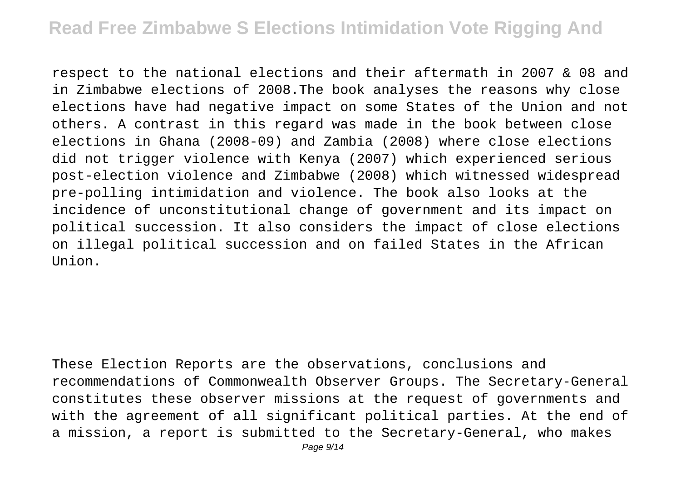respect to the national elections and their aftermath in 2007 & 08 and in Zimbabwe elections of 2008.The book analyses the reasons why close elections have had negative impact on some States of the Union and not others. A contrast in this regard was made in the book between close elections in Ghana (2008-09) and Zambia (2008) where close elections did not trigger violence with Kenya (2007) which experienced serious post-election violence and Zimbabwe (2008) which witnessed widespread pre-polling intimidation and violence. The book also looks at the incidence of unconstitutional change of government and its impact on political succession. It also considers the impact of close elections on illegal political succession and on failed States in the African  $IInion$ 

These Election Reports are the observations, conclusions and recommendations of Commonwealth Observer Groups. The Secretary-General constitutes these observer missions at the request of governments and with the agreement of all significant political parties. At the end of a mission, a report is submitted to the Secretary-General, who makes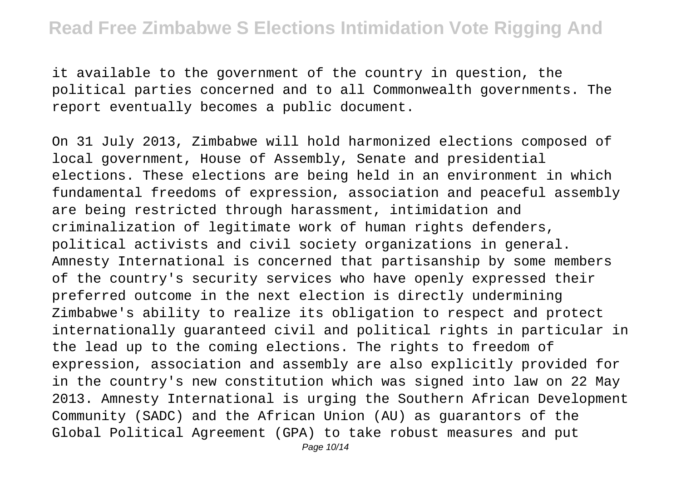it available to the government of the country in question, the political parties concerned and to all Commonwealth governments. The report eventually becomes a public document.

On 31 July 2013, Zimbabwe will hold harmonized elections composed of local government, House of Assembly, Senate and presidential elections. These elections are being held in an environment in which fundamental freedoms of expression, association and peaceful assembly are being restricted through harassment, intimidation and criminalization of legitimate work of human rights defenders, political activists and civil society organizations in general. Amnesty International is concerned that partisanship by some members of the country's security services who have openly expressed their preferred outcome in the next election is directly undermining Zimbabwe's ability to realize its obligation to respect and protect internationally guaranteed civil and political rights in particular in the lead up to the coming elections. The rights to freedom of expression, association and assembly are also explicitly provided for in the country's new constitution which was signed into law on 22 May 2013. Amnesty International is urging the Southern African Development Community (SADC) and the African Union (AU) as guarantors of the Global Political Agreement (GPA) to take robust measures and put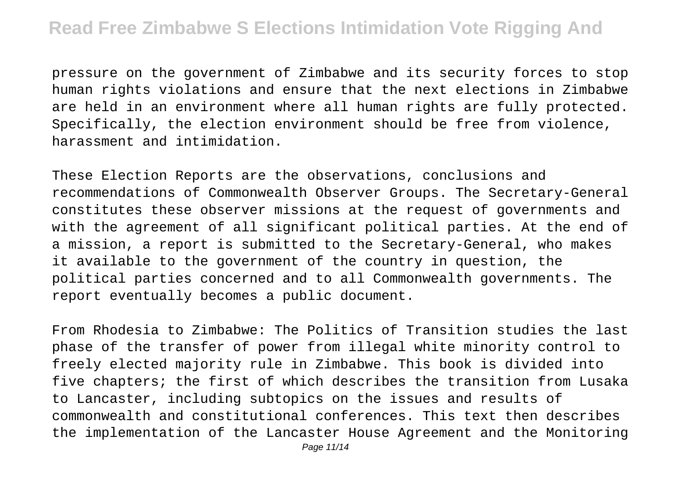pressure on the government of Zimbabwe and its security forces to stop human rights violations and ensure that the next elections in Zimbabwe are held in an environment where all human rights are fully protected. Specifically, the election environment should be free from violence, harassment and intimidation.

These Election Reports are the observations, conclusions and recommendations of Commonwealth Observer Groups. The Secretary-General constitutes these observer missions at the request of governments and with the agreement of all significant political parties. At the end of a mission, a report is submitted to the Secretary-General, who makes it available to the government of the country in question, the political parties concerned and to all Commonwealth governments. The report eventually becomes a public document.

From Rhodesia to Zimbabwe: The Politics of Transition studies the last phase of the transfer of power from illegal white minority control to freely elected majority rule in Zimbabwe. This book is divided into five chapters; the first of which describes the transition from Lusaka to Lancaster, including subtopics on the issues and results of commonwealth and constitutional conferences. This text then describes the implementation of the Lancaster House Agreement and the Monitoring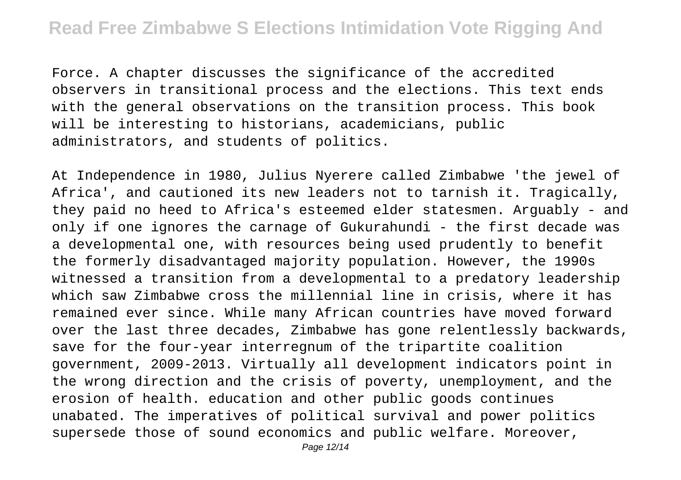Force. A chapter discusses the significance of the accredited observers in transitional process and the elections. This text ends with the general observations on the transition process. This book will be interesting to historians, academicians, public administrators, and students of politics.

At Independence in 1980, Julius Nyerere called Zimbabwe 'the jewel of Africa', and cautioned its new leaders not to tarnish it. Tragically, they paid no heed to Africa's esteemed elder statesmen. Arguably - and only if one ignores the carnage of Gukurahundi - the first decade was a developmental one, with resources being used prudently to benefit the formerly disadvantaged majority population. However, the 1990s witnessed a transition from a developmental to a predatory leadership which saw Zimbabwe cross the millennial line in crisis, where it has remained ever since. While many African countries have moved forward over the last three decades, Zimbabwe has gone relentlessly backwards, save for the four-year interregnum of the tripartite coalition government, 2009-2013. Virtually all development indicators point in the wrong direction and the crisis of poverty, unemployment, and the erosion of health. education and other public goods continues unabated. The imperatives of political survival and power politics supersede those of sound economics and public welfare. Moreover,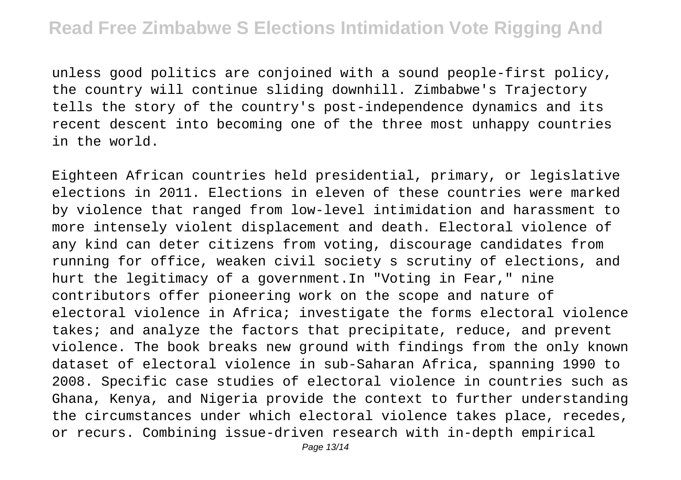unless good politics are conjoined with a sound people-first policy, the country will continue sliding downhill. Zimbabwe's Trajectory tells the story of the country's post-independence dynamics and its recent descent into becoming one of the three most unhappy countries in the world.

Eighteen African countries held presidential, primary, or legislative elections in 2011. Elections in eleven of these countries were marked by violence that ranged from low-level intimidation and harassment to more intensely violent displacement and death. Electoral violence of any kind can deter citizens from voting, discourage candidates from running for office, weaken civil society s scrutiny of elections, and hurt the legitimacy of a government.In "Voting in Fear," nine contributors offer pioneering work on the scope and nature of electoral violence in Africa; investigate the forms electoral violence takes; and analyze the factors that precipitate, reduce, and prevent violence. The book breaks new ground with findings from the only known dataset of electoral violence in sub-Saharan Africa, spanning 1990 to 2008. Specific case studies of electoral violence in countries such as Ghana, Kenya, and Nigeria provide the context to further understanding the circumstances under which electoral violence takes place, recedes, or recurs. Combining issue-driven research with in-depth empirical